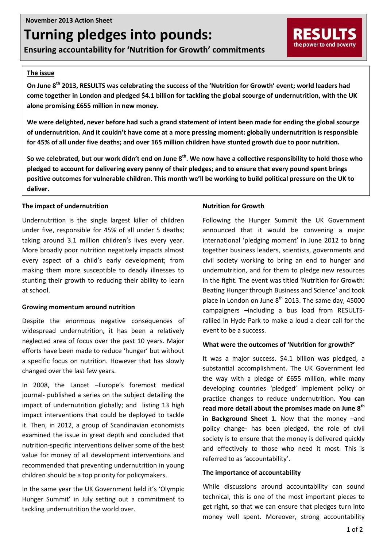# **Turning pledges into pounds:**

**Ensuring accountability for 'Nutrition for Growth' commitments**

#### **The issue**

**On June 8th 2013, RESULTS was celebrating the success of the 'Nutrition for Growth' event; world leaders had come together in London and pledged \$4.1 billion for tackling the global scourge of undernutrition, with the UK alone promising £655 million in new money.**

**We were delighted, never before had such a grand statement of intent been made for ending the global scourge of undernutrition. And it couldn't have come at a more pressing moment: globally undernutrition is responsible for 45% of all under five deaths; and over 165 million children have stunted growth due to poor nutrition.**

**So we celebrated, but our work didn't end on June 8th. We now have a collective responsibility to hold those who pledged to account for delivering every penny of their pledges; and to ensure that every pound spent brings positive outcomes for vulnerable children. This month we'll be working to build political pressure on the UK to deliver.**

# **The impact of undernutrition**

Undernutrition is the single largest killer of children under five, responsible for 45% of all under 5 deaths; taking around 3.1 million children's lives every year. More broadly poor nutrition negatively impacts almost every aspect of a child's early development; from making them more susceptible to deadly illnesses to stunting their growth to reducing their ability to learn at school.

#### **Growing momentum around nutrition**

Despite the enormous negative consequences of widespread undernutrition, it has been a relatively neglected area of focus over the past 10 years. Major efforts have been made to reduce 'hunger' but without a specific focus on nutrition. However that has slowly changed over the last few years.

In 2008, the Lancet –Europe's foremost medical journal- published a series on the subject detailing the impact of undernutrition globally; and listing 13 high impact interventions that could be deployed to tackle it. Then, in 2012, a group of Scandinavian economists examined the issue in great depth and concluded that nutrition-specific interventions deliver some of the best value for money of all development interventions and recommended that preventing undernutrition in young children should be a top priority for policymakers.

In the same year the UK Government held it's 'Olympic Hunger Summit' in July setting out a commitment to tackling undernutrition the world over.

# **Nutrition for Growth**

Following the Hunger Summit the UK Government announced that it would be convening a major international 'pledging moment' in June 2012 to bring together business leaders, scientists, governments and civil society working to bring an end to hunger and undernutrition, and for them to pledge new resources in the fight. The event was titled 'Nutrition for Growth: Beating Hunger through Business and Science' and took place in London on June  $8<sup>th</sup>$  2013. The same day, 45000 campaigners –including a bus load from RESULTSrallied in Hyde Park to make a loud a clear call for the event to be a success.

RESULTS the power to end poverty

#### **What were the outcomes of 'Nutrition for growth?'**

It was a major success. \$4.1 billion was pledged, a substantial accomplishment. The UK Government led the way with a pledge of £655 million, while many developing countries 'pledged' implement policy or practice changes to reduce undernutrition. **You can read more detail about the promises made on June 8th in Background Sheet 1**. Now that the money –and policy change- has been pledged, the role of civil society is to ensure that the money is delivered quickly and effectively to those who need it most. This is referred to as 'accountability'.

#### **The importance of accountability**

While discussions around accountability can sound technical, this is one of the most important pieces to get right, so that we can ensure that pledges turn into money well spent. Moreover, strong accountability